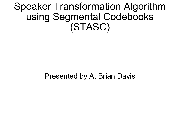Speaker Transformation Algorithm using Segmental Codebooks (STASC)

Presented by A. Brian Davis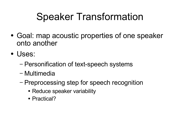### Speaker Transformation

- Goal: map acoustic properties of one speaker onto another
- Uses:
	- − Personification of text-speech systems
	- − Multimedia
	- − Preprocessing step for speech recognition
		- Reduce speaker variability
		- Practical?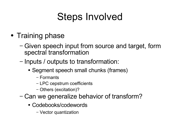### Steps Involved

- Training phase
	- − Given speech input from source and target, form spectral transformation
	- − Inputs / outputs to transformation:
		- Segment speech small chunks (frames)
			- − Formants
			- − LPC cepstrum coefficients
			- − Others (excitation)?
	- − Can we generalize behavior of transform?
		- Codebooks/codewords
			- − Vector quantization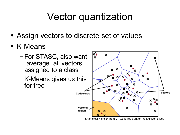#### Vector quantization

- Assign vectors to discrete set of values
- K-Means
	- − For STASC, also want "average" all vectors assigned to a class
	- − K-Means gives us this for free



Shamelessly stolen from Dr. Gutierrez's pattern recognition slides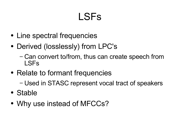## LSFs

- Line spectral frequencies
- Derived (losslessly) from LPC's
	- − Can convert to/from, thus can create speech from LSFs
- Relate to formant frequencies
	- − Used in STASC represent vocal tract of speakers
- Stable
- Why use instead of MFCCs?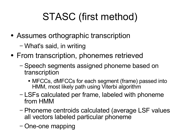# STASC (first method)

- Assumes orthographic transcription
	- − What's said, in writing
- From transcription, phonemes retrieved
	- − Speech segments assigned phoneme based on transcription
		- MFCCs, dMFCCs for each segment (frame) passed into HMM, most likely path using Viterbi algorithm
	- − LSFs calculated per frame, labeled with phoneme from HMM
	- − Phoneme centroids calculated (average LSF values all vectors labeled particular phoneme
	- − One-one mapping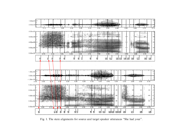

Fig. 1. The state alignments for source and target speaker utterances "She had your".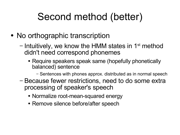### Second method (better)

- No orthographic transcription
	- Intuitively, we know the HMM states in 1<sup>st</sup> method didn't need correspond phonemes
		- Require speakers speak same (hopefully phonetically balanced) sentence
			- − Sentences with phones approx. distributed as in normal speech
	- − Because fewer restrictions, need to do some extra processing of speaker's speech
		- Normalize root-mean-squared energy
		- Remove silence before/after speech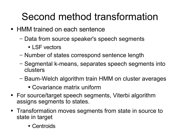#### Second method transformation

- HMM trained on each sentence
	- − Data from source speaker's speech segments
		- LSF vectors
	- − Number of states correspond sentence length
	- − Segmental k-means, separates speech segments into clusters
	- − Baum-Welch algorithm train HMM on cluster averages
		- Covariance matrix uniform
- For source/target speech segments, Viterbi algorithm assigns segments to states.
- Transformation moves segments from state in source to state in target
	- Centroids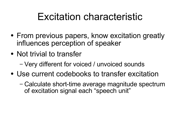#### Excitation characteristic

- From previous papers, know excitation greatly influences perception of speaker
- Not trivial to transfer
	- − Very different for voiced / unvoiced sounds
- Use current codebooks to transfer excitation
	- − Calculate short-time average magnitude spectrum of excitation signal each "speech unit"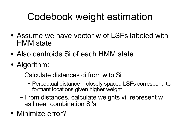### Codebook weight estimation

- Assume we have vector w of LSFs labeled with HMM state
- Also centroids Si of each HMM state
- Algorithm:
	- − Calculate distances di from w to Si
		- Perceptual distance closely spaced LSFs correspond to formant locations given higher weight
	- − From distances, calculate weights vi, represent w as linear combination Si's
- Minimize error?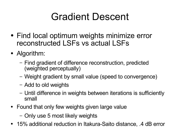### Gradient Descent

- Find local optimum weights minimize error reconstructed LSFs vs actual LSFs
- Algorithm:
	- − Find gradient of difference reconstruction, predicted (weighted perceptually)
	- − Weight gradient by small value (speed to convergence)
	- − Add to old weights
	- − Until difference in weights between iterations is sufficiently small
- Found that only few weights given large value
	- − Only use 5 most likely weights
- 15% additional reduction in Itakura-Saito distance, 4 dB error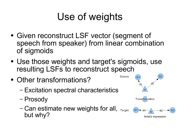### Use of weights

- Given reconstruct LSF vector (segment of speech from speaker) from linear combination of sigmoids
- Use those weights and target's sigmoids, use resulting LSFs to reconstruct speech
- Other transformations?
	- − Excitation spectral characteristics
	- − Prosody
	- − Can estimate new weights for all, Target: (s1)+ but why? Antist's impression



Source: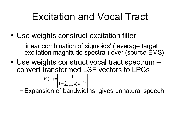#### Excitation and Vocal Tract

- Use weights construct excitation filter
	- − linear combination of sigmoids' ( average target excitation magnitude spectra ) over (source EMS)
- Use weights construct vocal tract spectrum convert transformed LSF vectors to LPCs

$$
V_t(\omega) = \left| \frac{1}{1 - \sum_{k=1}^P a_k^t e^{-jk\omega}} \right|
$$

− Expansion of bandwidths; gives unnatural speech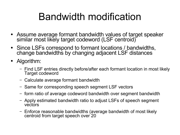### Bandwidth modification

- Assume average formant bandwidth values of target speaker similar most likely target codeword (LSF centroid)
- Since LSFs correspond to formant locations / bandwidths, change bandwidths by changing adjacent LSF distances
- Algorithm:
	- − Find LSF entries directly before/after each formant location in most likely Target codeword
	- − Calculate average formant bandwidth
	- − Same for corresponding speech segment LSF vectors
	- form ratio of average codeword bandwidth over segment bandwidth
	- − Apply estimated bandwidth ratio to adjust LSFs of speech segment vectors
	- − Enforce reasonable bandwidths (average bandwidth of most likely centroid from target speech over 20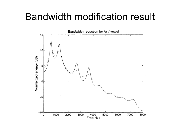#### Bandwidth modification result

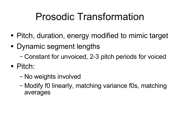### Prosodic Transformation

- Pitch, duration, energy modified to mimic target
- Dynamic segment lengths
	- − Constant for unvoiced, 2-3 pitch periods for voiced
- Pitch:
	- − No weights involved
	- − Modify f0 linearly, matching variance f0s, matching averages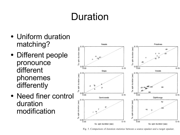### Duration

- Uniform duration matching?
- Different people pronounce different phonemes differently
- Need finer control duration modification



Fig. 5. Comparison of duration statistics between a source speaker and a target speaker.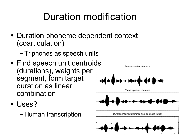### Duration modification

- Duration phoneme dependent context (coarticulation)
	- − Triphones as speech units
- Find speech unit centroids (durations), weights per segment, form target duration as linear combination
- Uses?
	- − Human transcription





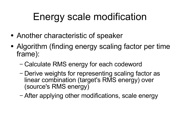### Energy scale modification

- Another characteristic of speaker
- Algorithm (finding energy scaling factor per time frame):
	- − Calculate RMS energy for each codeword
	- − Derive weights for representing scaling factor as linear combination (target's RMS energy) over (source's RMS energy)
	- − After applying other modifications, scale energy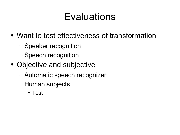### Evaluations

- Want to test effectiveness of transformation
	- − Speaker recognition
	- − Speech recognition
- Objective and subjective
	- − Automatic speech recognizer
	- − Human subjects
		- Test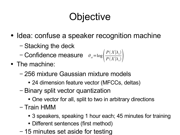## **Objective**

- Idea: confuse a speaker recognition machine
	- − Stacking the deck
	- − Confidence measure  $\theta_{st} = \log \left( \frac{B}{B} \right)$  $P(X|\lambda_{_t})$  $P(X|\lambda_{s})$
- The machine:
	- − 256 mixture Gaussian mixture models
		- 24 dimension feature vector (MFCCs, deltas)
	- − Binary split vector quantization
		- One vector for all, split to two in arbitrary directions
	- − Train HMM
		- 3 speakers, speaking 1 hour each; 45 minutes for training
		- Different sentences (first method)
	- − 15 minutes set aside for testing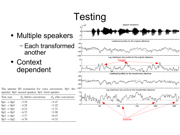- Multiple speakers
	- − Each transformed to another
- Context dependent

| Testing                                                                    |  |  |  |  |  |  |  |
|----------------------------------------------------------------------------|--|--|--|--|--|--|--|
| Speech waveform<br>$\times 10^4$                                           |  |  |  |  |  |  |  |
| 2                                                                          |  |  |  |  |  |  |  |
| 0<br>¶M                                                                    |  |  |  |  |  |  |  |
| $-2$                                                                       |  |  |  |  |  |  |  |
| $-4$<br>Likelihood profiles for the original utterance                     |  |  |  |  |  |  |  |
| $-40$                                                                      |  |  |  |  |  |  |  |
| $-60$                                                                      |  |  |  |  |  |  |  |
| $-80$                                                                      |  |  |  |  |  |  |  |
| $-100$<br>Log-likelihood ratio profile for the original utterance          |  |  |  |  |  |  |  |
| 10<br><b>Target</b>                                                        |  |  |  |  |  |  |  |
| $\sim$<br>0                                                                |  |  |  |  |  |  |  |
| $-10$<br>Likelihood profiles for the transformed utterance                 |  |  |  |  |  |  |  |
| $-40$                                                                      |  |  |  |  |  |  |  |
| $-60$<br>$-80$                                                             |  |  |  |  |  |  |  |
| $-100$<br>'S<br>Log-likelihood ratio profile for the transformed utterance |  |  |  |  |  |  |  |
| 10                                                                         |  |  |  |  |  |  |  |
| 5<br>0<br>$-5$                                                             |  |  |  |  |  |  |  |
| 100<br>150<br>50<br>200<br>250                                             |  |  |  |  |  |  |  |
| Source                                                                     |  |  |  |  |  |  |  |

|  |                                                  |  | The speaker ID evaluation for voice conversion. Sp1: fir |  |
|--|--------------------------------------------------|--|----------------------------------------------------------|--|
|  | speaker; Sp2: second speaker, Sp3: third speaker |  |                                                          |  |

| Test case                               | $\theta_{st}$ before conversion | $\theta_{st}$ after conversion |
|-----------------------------------------|---------------------------------|--------------------------------|
| $\mathrm{Sp1} \rightarrow \mathrm{Sp2}$ | $-5.59$                         | $+5.47$                        |
| $Sp1 \rightarrow Sp3$                   | $-4.29$                         | $+3.22$                        |
| $Sp2 \rightarrow Sp1$                   | $-6.22$                         | $+1.51$                        |
| $Sp2 \rightarrow Sp3$                   | $-6.55$                         | $+3.98$                        |
| $Sp3 \rightarrow Sp1$                   | $-3.57$                         | $+0.47$                        |
| $Sp3 \rightarrow Sp2$                   | $-4.70$                         | $+4.53$                        |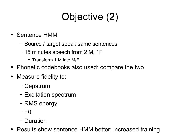# Objective (2)

- Sentence HMM
	- − Source / target speak same sentences
	- − 15 minutes speech from 2 M, 1F
		- Transform 1 M into M/F
- Phonetic codebooks also used; compare the two
- Measure fidelity to:
	- − Cepstrum
	- − Excitation spectrum
	- − RMS energy
	- − F0
	- − Duration
- Results show sentence HMM better; increased training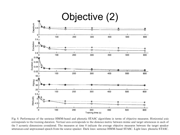

Fig. 8. Performance of the sentence HMM-based and phonetic STASC algorithms in terms of objective measures. Horizontal axis corresponds to the training duration. Vertical axis corresponds to the distance metric between mimic and target utterances in each of the 5 acoustic dimensions considered. The measures at time 0 indicate the average objective measures between the target speaker utterances and unprocessed speech from the source speaker. Dark lines: sentence HMM-based STASC. Light lines: phonetic STASC.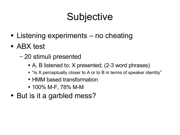### **Subjective**

- Listening experiments no cheating
- ABX test
	- − 20 stimuli presented
		- A, B listened to; X presented; (2-3 word phrases)
		- "Is X perceptually closer to A or to B in terms of speaker identity"
		- HMM based transformation
		- 100% M-F, 78% M-M
- But is it a garbled mess?